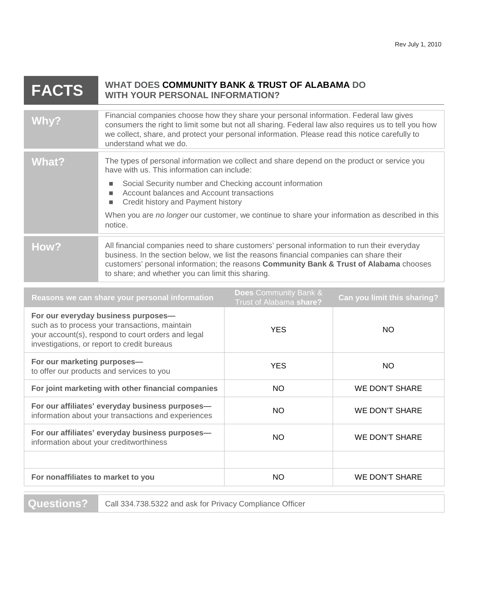| <b>FACTS</b> | WHAT DOES COMMUNITY BANK & TRUST OF ALABAMA DO<br><b>WITH YOUR PERSONAL INFORMATION?</b>                                                                                                                                                                                                                                                                                                                              |
|--------------|-----------------------------------------------------------------------------------------------------------------------------------------------------------------------------------------------------------------------------------------------------------------------------------------------------------------------------------------------------------------------------------------------------------------------|
| Why?         | Financial companies choose how they share your personal information. Federal law gives<br>consumers the right to limit some but not all sharing. Federal law also requires us to tell you how<br>we collect, share, and protect your personal information. Please read this notice carefully to<br>understand what we do.                                                                                             |
| What?        | The types of personal information we collect and share depend on the product or service you<br>have with us. This information can include:<br>Social Security number and Checking account information<br>п<br>Account balances and Account transactions<br>ш<br>Credit history and Payment history<br>п<br>When you are no longer our customer, we continue to share your information as described in this<br>notice. |
| How?         | All financial companies need to share customers' personal information to run their everyday<br>business. In the section below, we list the reasons financial companies can share their<br>customers' personal information; the reasons Community Bank & Trust of Alabama chooses<br>to share; and whether you can limit this sharing.                                                                                 |

| Reasons we can share your personal information                                                                                                                                             | <b>Does</b> Community Bank &<br>Trust of Alabama share? | Can you limit this sharing? |
|--------------------------------------------------------------------------------------------------------------------------------------------------------------------------------------------|---------------------------------------------------------|-----------------------------|
| For our everyday business purposes-<br>such as to process your transactions, maintain<br>your account(s), respond to court orders and legal<br>investigations, or report to credit bureaus | <b>YES</b>                                              | NO.                         |
| For our marketing purposes-<br>to offer our products and services to you                                                                                                                   | <b>YES</b>                                              | NO.                         |
| For joint marketing with other financial companies                                                                                                                                         | NO.                                                     | <b>WE DON'T SHARE</b>       |
| For our affiliates' everyday business purposes-<br>information about your transactions and experiences                                                                                     | NO.                                                     | <b>WE DON'T SHARE</b>       |
| For our affiliates' everyday business purposes-<br>information about your creditworthiness                                                                                                 | <b>NO</b>                                               | WE DON'T SHARE              |
|                                                                                                                                                                                            |                                                         |                             |
| For nonaffiliates to market to you                                                                                                                                                         | <b>NO</b>                                               | WE DON'T SHARE              |
|                                                                                                                                                                                            |                                                         |                             |

**Questions?** Call 334.738.5322 and ask for Privacy Compliance Officer